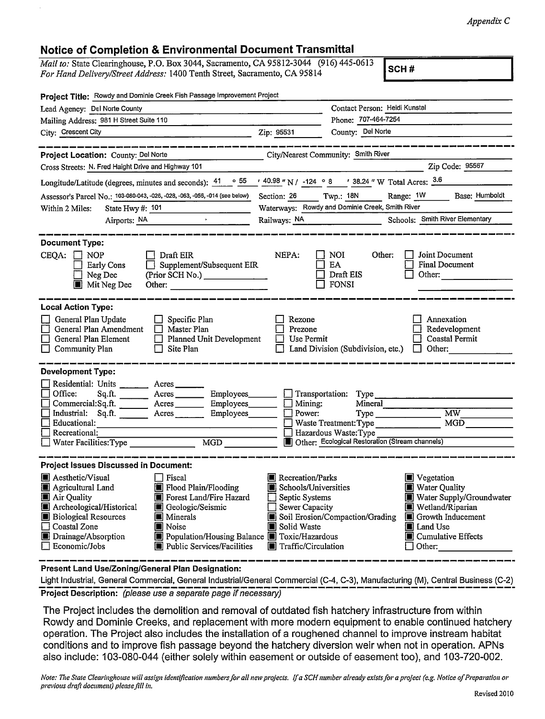Appendix C

## Notice of Completion &Environmental Document Transmittal

Mail to: State Clearinghouse, P.O. Box 3044, Sacramento, CA 95812-3044 (916) 445-0613 For Hand Delivery/Street Address: 1400 Tenth Street, Sacramento, CA 95814

SCH #

| Project Title: Rowdy and Dominie Creek Fish Passage Improvement Project |                                                                                                                                    |                                                                                                                                                                                                                                                                                                                                                                                                                                                                                                                                                                                                                                                                                                                                                                    |  |  |  |
|-------------------------------------------------------------------------|------------------------------------------------------------------------------------------------------------------------------------|--------------------------------------------------------------------------------------------------------------------------------------------------------------------------------------------------------------------------------------------------------------------------------------------------------------------------------------------------------------------------------------------------------------------------------------------------------------------------------------------------------------------------------------------------------------------------------------------------------------------------------------------------------------------------------------------------------------------------------------------------------------------|--|--|--|
| Lead Agency: Del Norte County                                           |                                                                                                                                    |                                                                                                                                                                                                                                                                                                                                                                                                                                                                                                                                                                                                                                                                                                                                                                    |  |  |  |
|                                                                         | Phone: 707-464-7254                                                                                                                |                                                                                                                                                                                                                                                                                                                                                                                                                                                                                                                                                                                                                                                                                                                                                                    |  |  |  |
| Zip: 95531                                                              | County: Del Norte                                                                                                                  |                                                                                                                                                                                                                                                                                                                                                                                                                                                                                                                                                                                                                                                                                                                                                                    |  |  |  |
|                                                                         |                                                                                                                                    |                                                                                                                                                                                                                                                                                                                                                                                                                                                                                                                                                                                                                                                                                                                                                                    |  |  |  |
|                                                                         |                                                                                                                                    |                                                                                                                                                                                                                                                                                                                                                                                                                                                                                                                                                                                                                                                                                                                                                                    |  |  |  |
|                                                                         |                                                                                                                                    | Zip Code: 95567                                                                                                                                                                                                                                                                                                                                                                                                                                                                                                                                                                                                                                                                                                                                                    |  |  |  |
|                                                                         |                                                                                                                                    |                                                                                                                                                                                                                                                                                                                                                                                                                                                                                                                                                                                                                                                                                                                                                                    |  |  |  |
|                                                                         |                                                                                                                                    | Base: Humboldt<br>Range: 1W                                                                                                                                                                                                                                                                                                                                                                                                                                                                                                                                                                                                                                                                                                                                        |  |  |  |
| Waterways: Rowdy and Dominie Creek, Smith River                         |                                                                                                                                    |                                                                                                                                                                                                                                                                                                                                                                                                                                                                                                                                                                                                                                                                                                                                                                    |  |  |  |
|                                                                         |                                                                                                                                    | Schools: Smith River Elementary                                                                                                                                                                                                                                                                                                                                                                                                                                                                                                                                                                                                                                                                                                                                    |  |  |  |
| NEPA:<br>Supplement/Subsequent EIR<br>Other:                            | Other:<br>NOI<br>EA<br>Draft EIS<br><b>FONSI</b>                                                                                   | Joint Document<br><b>Final Document</b><br>Other:                                                                                                                                                                                                                                                                                                                                                                                                                                                                                                                                                                                                                                                                                                                  |  |  |  |
| Rezone<br>Prezone<br>Planned Unit Development                           |                                                                                                                                    | Annexation<br>Redevelopment<br><b>Coastal Permit</b><br>Other:                                                                                                                                                                                                                                                                                                                                                                                                                                                                                                                                                                                                                                                                                                     |  |  |  |
| <b>Development Type:</b>                                                |                                                                                                                                    |                                                                                                                                                                                                                                                                                                                                                                                                                                                                                                                                                                                                                                                                                                                                                                    |  |  |  |
|                                                                         |                                                                                                                                    |                                                                                                                                                                                                                                                                                                                                                                                                                                                                                                                                                                                                                                                                                                                                                                    |  |  |  |
|                                                                         |                                                                                                                                    |                                                                                                                                                                                                                                                                                                                                                                                                                                                                                                                                                                                                                                                                                                                                                                    |  |  |  |
|                                                                         |                                                                                                                                    | MW                                                                                                                                                                                                                                                                                                                                                                                                                                                                                                                                                                                                                                                                                                                                                                 |  |  |  |
|                                                                         |                                                                                                                                    | MGD                                                                                                                                                                                                                                                                                                                                                                                                                                                                                                                                                                                                                                                                                                                                                                |  |  |  |
| Recreational:<br>Hazardous Waste: Type<br>MGD<br>Water Facilities: Type |                                                                                                                                    |                                                                                                                                                                                                                                                                                                                                                                                                                                                                                                                                                                                                                                                                                                                                                                    |  |  |  |
|                                                                         |                                                                                                                                    |                                                                                                                                                                                                                                                                                                                                                                                                                                                                                                                                                                                                                                                                                                                                                                    |  |  |  |
| <b>Project Issues Discussed in Document:</b>                            |                                                                                                                                    |                                                                                                                                                                                                                                                                                                                                                                                                                                                                                                                                                                                                                                                                                                                                                                    |  |  |  |
| Solid Waste                                                             |                                                                                                                                    | Vegetation<br><b>Net Water Quality</b><br>Water Supply/Groundwater<br>Wetland/Riparian<br>Growth Inducement<br>ĮП<br>Land Use<br>■ Cumulative Effects<br>Other:                                                                                                                                                                                                                                                                                                                                                                                                                                                                                                                                                                                                    |  |  |  |
|                                                                         | Acres __________ Employees________<br>Commercial:Sq.ft. ________ Acres __________ Employees _______<br>Power:<br>Employees________ | Contact Person: Heidi Kunstal<br>City/Nearest Community: Smith River<br>Longitude/Latitude (degrees, minutes and seconds): $\frac{41}{9}$ $\frac{55}{9}$ $\frac{40.98}{9}$ N / -124 $\circ$ 8 $\frac{8}{9}$ $\frac{1}{38.24}$ W Total Acres: $\frac{3.6}{9}$<br>Assessor's Parcel No.: 103-080-043, -026, -028, -063, -056, -014 (see below) Section: 26 Twp.: 18N<br>Use Permit<br>Land Division (Subdivision, etc.)<br>Transportation: Type<br>Mineral<br>$\Box$ Mining:<br>$Type \_$<br>Waste Treatment: Type<br>Other: Ecological Restoration (Stream channels)<br>Recreation/Parks<br>Schools/Universities<br>Septic Systems<br><b>Sewer Capacity</b><br>Soil Erosion/Compaction/Grading<br>Population/Housing Balance Toxic/Hazardous<br>Traffic/Circulation |  |  |  |

Present Land Use/Zoning/General Plan Designation:

Light Industrial, General Commercial, General Industrial/General Commercial (C-4, C-3), Manufacturing (M), Central Business (C-2) Project Description: (please use a separate page if necessary)

The Project includes the demolition and removal of outdated fish hatchery infrastructure from within Rowdy and Dominie Creeks, and replacement with more modern equipment to enable continued hatchery operation. The Project also includes the installation of a roughened channel to improve instream habitat conditions and to improve fish passage beyond the hatchery diversion weir when not in operation. APNs also include: 103-080-044 (either solely within easement or outside of easement too), and 103-720-002.

Note: The State Clearinghouse will assign identification numbers for all new projects. If a SCH number already exists for a project (e.g. Notice of Preparation or previous draft document) plense fil! in.